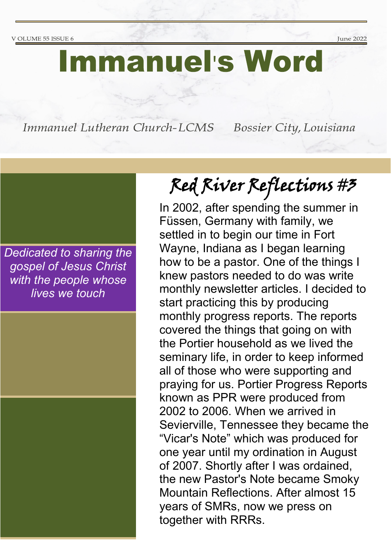June 2022

# **Immanuel's Word**

Immanuel Lutheran Church-LCMS

Bossier City, Louisiana

*Dedicated to sharing the gospel of Jesus Christ with the people whose lives we touch*

# Red River Reflections #3

In 2002, after spending the summer in Füssen, Germany with family, we settled in to begin our time in Fort Wayne, Indiana as I began learning how to be a pastor. One of the things I knew pastors needed to do was write monthly newsletter articles. I decided to start practicing this by producing monthly progress reports. The reports covered the things that going on with the Portier household as we lived the seminary life, in order to keep informed all of those who were supporting and praying for us. Portier Progress Reports known as PPR were produced from 2002 to 2006. When we arrived in Sevierville, Tennessee they became the "Vicar's Note" which was produced for one year until my ordination in August of 2007. Shortly after I was ordained, the new Pastor's Note became Smoky Mountain Reflections. After almost 15 years of SMRs, now we press on together with RRRs.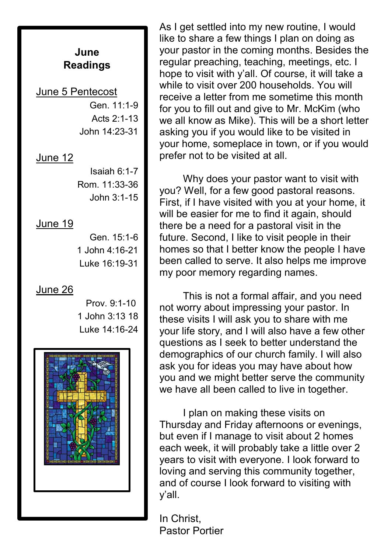#### **June Readings**

#### June 5 Pentecost

Gen. 11:1-9 Acts 2:1-13 John 14:23-31

#### June 12

Isaiah 6:1-7 Rom. 11:33-36 John 3:1-15

#### June 19

Gen. 15:1-6 1 John 4:16-21 Luke 16:19-31

#### June 26

 Prov. 9:1-10 1 John 3:13 18 Luke 14:16-24



As I get settled into my new routine, I would like to share a few things I plan on doing as your pastor in the coming months. Besides the regular preaching, teaching, meetings, etc. I hope to visit with y'all. Of course, it will take a while to visit over 200 households. You will receive a letter from me sometime this month for you to fill out and give to Mr. McKim (who we all know as Mike). This will be a short letter asking you if you would like to be visited in your home, someplace in town, or if you would prefer not to be visited at all.

Why does your pastor want to visit with you? Well, for a few good pastoral reasons. First, if I have visited with you at your home, it will be easier for me to find it again, should there be a need for a pastoral visit in the future. Second, I like to visit people in their homes so that I better know the people I have been called to serve. It also helps me improve my poor memory regarding names.

This is not a formal affair, and you need not worry about impressing your pastor. In these visits I will ask you to share with me your life story, and I will also have a few other questions as I seek to better understand the demographics of our church family. I will also ask you for ideas you may have about how you and we might better serve the community we have all been called to live in together.

I plan on making these visits on Thursday and Friday afternoons or evenings, but even if I manage to visit about 2 homes each week, it will probably take a little over 2 years to visit with everyone. I look forward to loving and serving this community together, and of course I look forward to visiting with y'all.

In Christ, Pastor Portier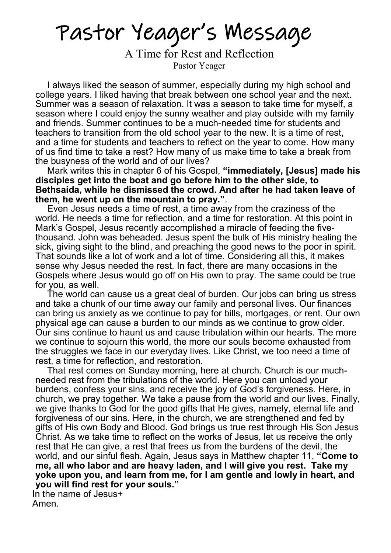Pastor Yeager's Message

A Time for Rest and Reflection Pastor Yeager

I always liked the season of summer, especially during my high school and college years. I liked having that break between one school year and the next. Summer was a season of relaxation. It was a season to take time for myself, a season where I could enjoy the sunny weather and play outside with my family and friends. Summer continues to be a much-needed time for students and teachers to transition from the old school year to the new. It is a time of rest, and a time for students and teachers to reflect on the year to come. How many of us find time to take a rest? How many of us make time to take a break from the busyness of the world and of our lives?

Mark writes this in chapter 6 of his Gospel, **"immediately, [Jesus] made his disciples get into the boat and go before him to the other side, to Bethsaida, while he dismissed the crowd. And after he had taken leave of them, he went up on the mountain to pray."**.

Even Jesus needs a time of rest, a time away from the craziness of the world. He needs a time for reflection, and a time for restoration. At this point in Mark's Gospel, Jesus recently accomplished a miracle of feeding the fivethousand. John was beheaded. Jesus spent the bulk of His ministry healing the sick, giving sight to the blind, and preaching the good news to the poor in spirit. That sounds like a lot of work and a lot of time. Considering all this, it makes sense why Jesus needed the rest. In fact, there are many occasions in the Gospels where Jesus would go off on His own to pray. The same could be true for you, as well.

The world can cause us a great deal of burden. Our jobs can bring us stress and take a chunk of our time away our family and personal lives. Our finances can bring us anxiety as we continue to pay for bills, mortgages, or rent. Our own physical age can cause a burden to our minds as we continue to grow older. Our sins continue to haunt us and cause tribulation within our hearts. The more we continue to sojourn this world, the more our souls become exhausted from the struggles we face in our everyday lives. Like Christ, we too need a time of rest, a time for reflection, and restoration.

That rest comes on Sunday morning, here at church. Church is our muchneeded rest from the tribulations of the world. Here you can unload your burdens, confess your sins, and receive the joy of God's forgiveness. Here, in church, we pray together. We take a pause from the world and our lives. Finally, we give thanks to God for the good gifts that He gives, namely, eternal life and forgiveness of our sins. Here, in the church, we are strengthened and fed by gifts of His own Body and Blood. God brings us true rest through His Son Jesus Christ. As we take time to reflect on the works of Jesus, let us receive the only rest that He can give, a rest that frees us from the burdens of the devil, the world, and our sinful flesh. Again, Jesus says in Matthew chapter 11, **"Come to me, all who labor and are heavy laden, and I will give you rest. Take my yoke upon you, and learn from me, for I am gentle and lowly in heart, and you will find rest for your souls."**

 In the name of Jesus+ Amen.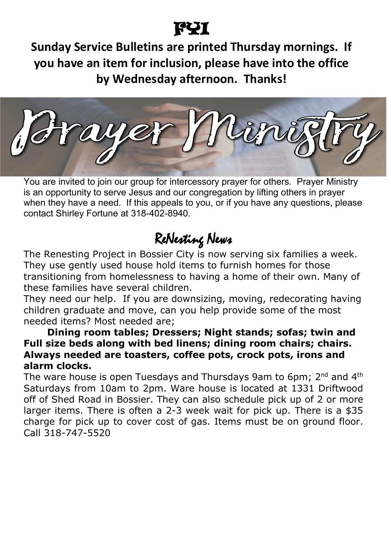# FYI

**Sunday Service Bulletins are printed Thursday mornings. If you have an item for inclusion, please have into the office by Wednesday afternoon. Thanks!** 

You are invited to join our group for intercessory prayer for others. Prayer Ministry is an opportunity to serve Jesus and our congregation by lifting others in prayer when they have a need. If this appeals to you, or if you have any questions, please contact Shirley Fortune at 318-402-8940.

# ReNesting News

The Renesting Project in Bossier City is now serving six families a week. They use gently used house hold items to furnish homes for those transitioning from homelessness to having a home of their own. Many of these families have several children.

They need our help. If you are downsizing, moving, redecorating having children graduate and move, can you help provide some of the most needed items? Most needed are;

#### **Dining room tables; Dressers; Night stands; sofas; twin and Full size beds along with bed linens; dining room chairs; chairs. Always needed are toasters, coffee pots, crock pots, irons and alarm clocks.**

The ware house is open Tuesdays and Thursdays 9am to 6pm; 2<sup>nd</sup> and 4<sup>th</sup> Saturdays from 10am to 2pm. Ware house is located at 1331 Driftwood off of Shed Road in Bossier. They can also schedule pick up of 2 or more larger items. There is often a 2-3 week wait for pick up. There is a \$35 charge for pick up to cover cost of gas. Items must be on ground floor. Call 318-747-5520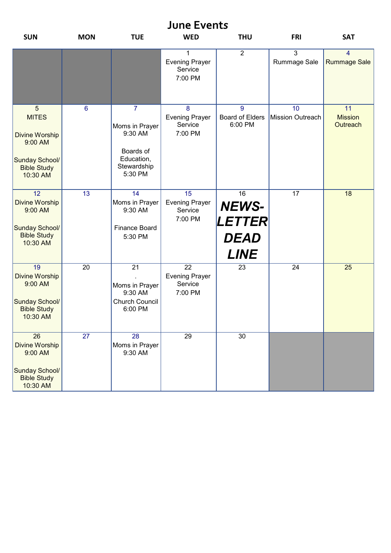| <b>June Events</b>                                                                                                     |                 |                                                                                                  |                                                                |                                                                          |                                |                                       |  |  |
|------------------------------------------------------------------------------------------------------------------------|-----------------|--------------------------------------------------------------------------------------------------|----------------------------------------------------------------|--------------------------------------------------------------------------|--------------------------------|---------------------------------------|--|--|
| <b>SUN</b>                                                                                                             | <b>MON</b>      | <b>TUE</b>                                                                                       | <b>WED</b>                                                     | <b>THU</b>                                                               | <b>FRI</b>                     | <b>SAT</b>                            |  |  |
|                                                                                                                        |                 |                                                                                                  | $\mathbf{1}$<br><b>Evening Prayer</b><br>Service<br>7:00 PM    | $\overline{2}$                                                           | $\overline{3}$<br>Rummage Sale | $\overline{4}$<br><b>Rummage Sale</b> |  |  |
| $5\phantom{1}$<br><b>MITES</b><br><b>Divine Worship</b><br>9:00 AM<br>Sunday School/<br><b>Bible Study</b><br>10:30 AM | $6\phantom{1}6$ | $\overline{7}$<br>Moms in Prayer<br>9:30 AM<br>Boards of<br>Education,<br>Stewardship<br>5:30 PM | 8<br><b>Evening Prayer</b><br>Service<br>7:00 PM               | 9<br><b>Board of Elders</b><br>6:00 PM                                   | 10<br><b>Mission Outreach</b>  | 11<br><b>Mission</b><br>Outreach      |  |  |
| $\overline{12}$<br><b>Divine Worship</b><br>9:00 AM<br>Sunday School/<br><b>Bible Study</b><br>10:30 AM                | $\overline{13}$ | 14<br>Moms in Prayer<br>9:30 AM<br><b>Finance Board</b><br>5:30 PM                               | 15<br><b>Evening Prayer</b><br>Service<br>7:00 PM              | 16<br><b>NEWS-</b><br><b>LETTER</b><br><i><b>DEAD</b></i><br><b>LINE</b> | $\overline{17}$                | 18                                    |  |  |
| $\overline{19}$<br><b>Divine Worship</b><br>9:00 AM<br>Sunday School/<br><b>Bible Study</b><br>10:30 AM                | $\overline{20}$ | $\overline{21}$<br>Moms in Prayer<br>9:30 AM<br><b>Church Council</b><br>6:00 PM                 | $\overline{22}$<br><b>Evening Prayer</b><br>Service<br>7:00 PM | 23                                                                       | $\overline{24}$                | 25                                    |  |  |
| $\overline{26}$<br><b>Divine Worship</b><br>9:00 AM<br>Sunday School/<br><b>Bible Study</b><br>10:30 AM                | $\overline{27}$ | $\overline{28}$<br>Moms in Prayer<br>9:30 AM                                                     | $\overline{29}$                                                | $\overline{30}$                                                          |                                |                                       |  |  |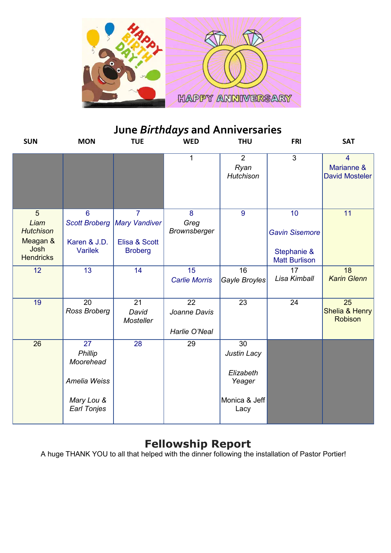

## **June** *Birthdays* **and Anniversaries**

| <b>SUN</b>                                                            | <b>MON</b>                                                                                  | <b>TUE</b>                                                                | <b>WED</b>                                       | <b>THU</b>                                                                     | <b>FRI</b>                                                         | <b>SAT</b>                                            |
|-----------------------------------------------------------------------|---------------------------------------------------------------------------------------------|---------------------------------------------------------------------------|--------------------------------------------------|--------------------------------------------------------------------------------|--------------------------------------------------------------------|-------------------------------------------------------|
|                                                                       |                                                                                             |                                                                           | 1                                                | $\overline{2}$<br>Ryan<br>Hutchison                                            | 3                                                                  | $\overline{4}$<br>Marianne &<br><b>David Mosteler</b> |
| 5<br>Liam<br><b>Hutchison</b><br>Meagan &<br>Josh<br><b>Hendricks</b> | $6\phantom{1}6$<br><b>Scott Broberg</b><br>Karen & J.D.<br><b>Varilek</b>                   | $\overline{7}$<br><b>Mary Vandiver</b><br>Elisa & Scott<br><b>Broberg</b> | 8<br>Greg<br><b>Brownsberger</b>                 | 9                                                                              | 10<br><b>Gavin Sisemore</b><br>Stephanie &<br><b>Matt Burlison</b> | 11                                                    |
| 12                                                                    | $\overline{13}$                                                                             | 14                                                                        | $\overline{15}$<br><b>Carlie Morris</b>          | $\overline{16}$<br>Gayle Broyles                                               | $\overline{17}$<br>Lisa Kimball                                    | $\overline{18}$<br><b>Karin Glenn</b>                 |
| $\overline{19}$                                                       | $\overline{20}$<br>Ross Broberg                                                             | $\overline{21}$<br>David<br><b>Mosteller</b>                              | $\overline{22}$<br>Joanne Davis<br>Harlie O'Neal | $\overline{23}$                                                                | 24                                                                 | $\overline{25}$<br>Shelia & Henry<br><b>Robison</b>   |
| 26                                                                    | $\overline{27}$<br>Phillip<br>Moorehead<br>Amelia Weiss<br>Mary Lou &<br><b>Earl Tonjes</b> | 28                                                                        | 29                                               | $\overline{30}$<br>Justin Lacy<br>Elizabeth<br>Yeager<br>Monica & Jeff<br>Lacy |                                                                    |                                                       |

### **Fellowship Report**

A huge THANK YOU to all that helped with the dinner following the installation of Pastor Portier!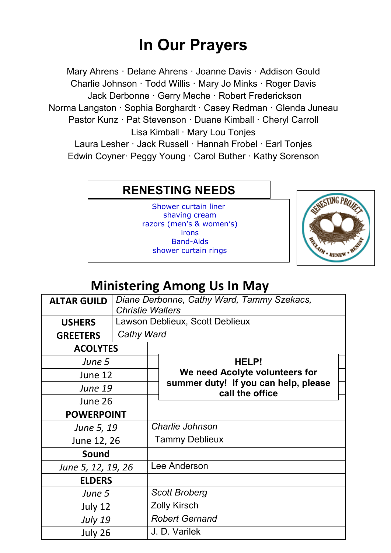# **In Our Prayers**

Mary Ahrens · Delane Ahrens · Joanne Davis · Addison Gould Charlie Johnson · Todd Willis · Mary Jo Minks · Roger Davis Jack Derbonne · Gerry Meche · Robert Frederickson Norma Langston · Sophia Borghardt · Casey Redman · Glenda Juneau Pastor Kunz · Pat Stevenson · Duane Kimball · Cheryl Carroll Lisa Kimball · Mary Lou Tonjes Laura Lesher · Jack Russell · Hannah Frobel · Earl Tonjes Edwin Coyner· Peggy Young · Carol Buther · Kathy Sorenson

### **RENESTING NEEDS**

 Band-Aids Shower curtain liner shaving cream razors (men's & women's) irons shower curtain rings



## **Ministering Among Us In May**

| <b>ALTAR GUILD</b> | Diane Derbonne, Cathy Ward, Tammy Szekacs,<br><b>Christie Walters</b> |                       |                                                                                                    |  |  |  |
|--------------------|-----------------------------------------------------------------------|-----------------------|----------------------------------------------------------------------------------------------------|--|--|--|
| <b>USHERS</b>      | Lawson Deblieux, Scott Deblieux                                       |                       |                                                                                                    |  |  |  |
| <b>GREETERS</b>    | Cathy Ward                                                            |                       |                                                                                                    |  |  |  |
| <b>ACOLYTES</b>    |                                                                       |                       |                                                                                                    |  |  |  |
| June 5             |                                                                       |                       | HELP!<br>We need Acolyte volunteers for<br>summer duty! If you can help, please<br>call the office |  |  |  |
| June 12            |                                                                       |                       |                                                                                                    |  |  |  |
| <b>June 19</b>     |                                                                       |                       |                                                                                                    |  |  |  |
| June 26            |                                                                       |                       |                                                                                                    |  |  |  |
| <b>POWERPOINT</b>  |                                                                       |                       |                                                                                                    |  |  |  |
| June 5, 19         |                                                                       | Charlie Johnson       |                                                                                                    |  |  |  |
| June 12, 26        |                                                                       | <b>Tammy Deblieux</b> |                                                                                                    |  |  |  |
| Sound              |                                                                       |                       |                                                                                                    |  |  |  |
| June 5, 12, 19, 26 |                                                                       | Lee Anderson          |                                                                                                    |  |  |  |
| <b>ELDERS</b>      |                                                                       |                       |                                                                                                    |  |  |  |
| June 5             |                                                                       | <b>Scott Broberg</b>  |                                                                                                    |  |  |  |
| July 12            |                                                                       |                       | <b>Zolly Kirsch</b>                                                                                |  |  |  |
| <b>July 19</b>     |                                                                       |                       | <b>Robert Gernand</b>                                                                              |  |  |  |
| July 26            |                                                                       |                       | J. D. Varilek                                                                                      |  |  |  |